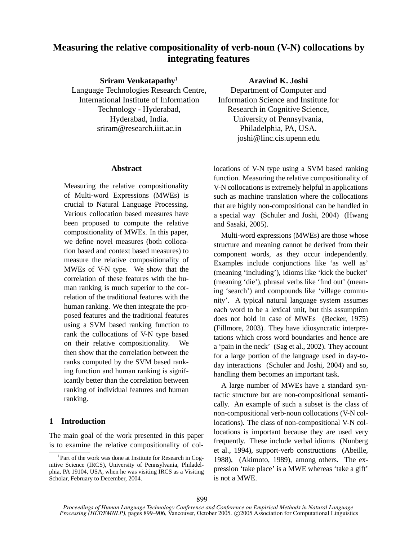# **Measuring the relative compositionality of verb-noun (V-N) collocations by integrating features**

**Sriram Venkatapathy**

Language Technologies Research Centre, International Institute of Information Technology - Hyderabad, Hyderabad, India. sriram@research.iiit.ac.in

### **Abstract**

Measuring the relative compositionality of Multi-word Expressions (MWEs) is crucial to Natural Language Processing. Various collocation based measures have been proposed to compute the relative compositionality of MWEs. In this paper, we define novel measures (both collocation based and context based measures) to measure the relative compositionality of MWEs of V-N type. We show that the correlation of these features with the human ranking is much superior to the correlation of the traditional features with the human ranking. We then integrate the proposed features and the traditional features using a SVM based ranking function to rank the collocations of V-N type based on their relative compositionality. We then show that the correlation between the ranks computed by the SVM based ranking function and human ranking is significantly better than the correlation between ranking of individual features and human ranking.

## **1 Introduction**

The main goal of the work presented in this paper is to examine the relative compositionality of col**Aravind K. Joshi**

Department of Computer and Information Science and Institute for Research in Cognitive Science, University of Pennsylvania, Philadelphia, PA, USA. joshi@linc.cis.upenn.edu

locations of V-N type using a SVM based ranking function. Measuring the relative compositionality of V-N collocations is extremely helpful in applications such as machine translation where the collocations that are highly non-compositional can be handled in a special way (Schuler and Joshi, 2004) (Hwang and Sasaki, 2005).

Multi-word expressions (MWEs) are those whose structure and meaning cannot be derived from their component words, as they occur independently. Examples include conjunctions like 'as well as' (meaning 'including'), idioms like 'kick the bucket' (meaning 'die'), phrasal verbs like 'find out' (meaning 'search') and compounds like 'village community'. A typical natural language system assumes each word to be a lexical unit, but this assumption does not hold in case of MWEs (Becker, 1975) (Fillmore, 2003). They have idiosyncratic interpretations which cross word boundaries and hence are a 'pain in the neck' (Sag et al., 2002). They account for a large portion of the language used in day-today interactions (Schuler and Joshi, 2004) and so, handling them becomes an important task.

A large number of MWEs have a standard syntactic structure but are non-compositional semantically. An example of such a subset is the class of non-compositional verb-noun collocations (V-N collocations). The class of non-compositional V-N collocations is important because they are used very frequently. These include verbal idioms (Nunberg et al., 1994), support-verb constructions (Abeille, 1988), (Akimoto, 1989), among others. The expression 'take place' is a MWE whereas 'take a gift' is not a MWE.

<sup>&</sup>lt;sup>1</sup>Part of the work was done at Institute for Research in Cognitive Science (IRCS), University of Pennsylvania, Philadelphia, PA 19104, USA, when he was visiting IRCS as a Visiting Scholar, February to December, 2004.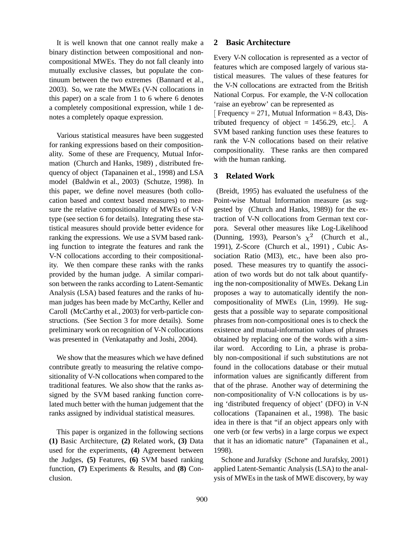It is well known that one cannot really make a binary distinction between compositional and noncompositional MWEs. They do not fall cleanly into mutually exclusive classes, but populate the continuum between the two extremes (Bannard et al., 2003). So, we rate the MWEs (V-N collocations in this paper) on a scale from 1 to 6 where 6 denotes a completely compositional expression, while 1 denotes a completely opaque expression.

Various statistical measures have been suggested for ranking expressions based on their compositionality. Some of these are Frequency, Mutual Information (Church and Hanks, 1989) , distributed frequency of object (Tapanainen et al., 1998) and LSA model (Baldwin et al., 2003) (Schutze, 1998). In this paper, we define novel measures (both collocation based and context based measures) to measure the relative compositionality of MWEs of V-N type (see section 6 for details). Integrating these statistical measures should provide better evidence for ranking the expressions. We use a SVM based ranking function to integrate the features and rank the V-N collocations according to their compositionality. We then compare these ranks with the ranks provided by the human judge. A similar comparison between the ranks according to Latent-Semantic Analysis (LSA) based features and the ranks of human judges has been made by McCarthy, Keller and Caroll (McCarthy et al., 2003) for verb-particle constructions. (See Section 3 for more details). Some preliminary work on recognition of V-N collocations was presented in (Venkatapathy and Joshi, 2004).

We show that the measures which we have defined contribute greatly to measuring the relative compositionality of V-N collocations when compared to the traditional features. We also show that the ranks assigned by the SVM based ranking function correlated much better with the human judgement that the ranks assigned by individual statistical measures.

This paper is organized in the following sections **(1)** Basic Architecture, **(2)** Related work, **(3)** Data used for the experiments, **(4)** Agreement between the Judges, **(5)** Features, **(6)** SVM based ranking function, **(7)** Experiments & Results, and **(8)** Conclusion.

#### **2 Basic Architecture**

Every V-N collocation is represented as a vector of features which are composed largely of various statistical measures. The values of these features for the V-N collocations are extracted from the British National Corpus. For example, the V-N collocation 'raise an eyebrow' can be represented as

Frequency = 271, Mutual Information = 8.43, Distributed frequency of object  $= 1456.29$ , etc... A SVM based ranking function uses these features to rank the V-N collocations based on their relative compositionality. These ranks are then compared with the human ranking.

#### **3 Related Work**

(Breidt, 1995) has evaluated the usefulness of the Point-wise Mutual Information measure (as suggested by (Church and Hanks, 1989)) for the extraction of V-N collocations from German text corpora. Several other measures like Log-Likelihood (Dunning, 1993), Pearson's  $\chi^2$  (Church et al., 1991), Z-Score (Church et al., 1991) , Cubic Association Ratio (MI3), etc., have been also proposed. These measures try to quantify the association of two words but do not talk about quantifying the non-compositionality of MWEs. Dekang Lin proposes a way to automatically identify the noncompositionality of MWEs (Lin, 1999). He suggests that a possible way to separate compositional phrases from non-compositional ones is to check the existence and mutual-information values of phrases obtained by replacing one of the words with a similar word. According to Lin, a phrase is probably non-compositional if such substitutions are not found in the collocations database or their mutual information values are significantly different from that of the phrase. Another way of determining the non-compositionality of V-N collocations is by using 'distributed frequency of object' (DFO) in V-N collocations (Tapanainen et al., 1998). The basic idea in there is that "if an object appears only with one verb (or few verbs) in a large corpus we expect that it has an idiomatic nature" (Tapanainen et al., 1998).

Schone and Jurafsky (Schone and Jurafsky, 2001) applied Latent-Semantic Analysis (LSA) to the analysis of MWEsin the task of MWE discovery, by way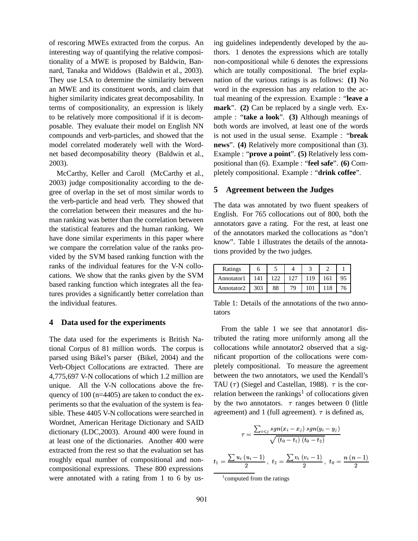of rescoring MWEs extracted from the corpus. An interesting way of quantifying the relative compositionality of a MWE is proposed by Baldwin, Bannard, Tanaka and Widdows (Baldwin et al., 2003). They use LSA to determine the similarity between an MWE and its constituent words, and claim that higher similarity indicates great decomposability. In terms of compositionality, an expression is likely to be relatively more compositional if it is decomposable. They evaluate their model on English NN compounds and verb-particles, and showed that the model correlated moderately well with the Wordnet based decomposability theory (Baldwin et al., 2003).

McCarthy, Keller and Caroll (McCarthy et al., 2003) judge compositionality according to the degree of overlap in the set of most similar words to the verb-particle and head verb. They showed that the correlation between their measures and the human ranking was better than the correlation between the statistical features and the human ranking. We have done similar experiments in this paper where we compare the correlation value of the ranks provided by the SVM based ranking function with the ranks of the individual features for the V-N collocations. We show that the ranks given by the SVM based ranking function which integrates all the features provides a significantly better correlation than the individual features.

## **4 Data used for the experiments**

The data used for the experiments is British National Corpus of 81 million words. The corpus is parsed using Bikel's parser (Bikel, 2004) and the Verb-Object Collocations are extracted. There are 4,775,697 V-N collocations of which 1.2 million are unique. All the V-N collocations above the frequency of 100 (n=4405) are taken to conduct the experiments so that the evaluation of the system is feasible. These 4405 V-N collocations were searched in Wordnet, American Heritage Dictionary and SAID dictionary (LDC,2003). Around 400 were found in at least one of the dictionaries. Another 400 were extracted from the rest so that the evaluation set has roughly equal number of compositional and noncompositional expressions. These 800 expressions were annotated with a rating from 1 to 6 by using guidelines independently developed by the authors. 1 denotes the expressions which are totally non-compositional while 6 denotes the expressions which are totally compositional. The brief explanation of the various ratings is as follows: **(1)** No word in the expression has any relation to the actual meaning of the expression. Example : "**leave a mark**". **(2)** Can be replaced by a single verb. Example : "**take a look**". **(3)** Although meanings of both words are involved, at least one of the words is not used in the usual sense. Example : "**break news**". **(4)** Relatively more compositional than (3). Example : "**prove a point**". **(5)** Relatively less compositional than (6). Example : "**feel safe**". **(6)** Completely compositional. Example : "**drink coffee**".

#### **5 Agreement between the Judges**

The data was annotated by two fluent speakers of English. For 765 collocations out of 800, both the annotators gave a rating. For the rest, at least one of the annotators marked the collocations as "don't know". Table 1 illustrates the details of the annotations provided by the two judges.

| Ratings    |     |    |    |      |     |    |
|------------|-----|----|----|------|-----|----|
| Annotator1 | 141 |    |    |      | 161 | 95 |
| Annotator2 | 303 | 88 | 70 | : ∩، | 118 | 76 |

Table 1: Details of the annotations of the two annotators

From the table 1 we see that annotator1 distributed the rating more uniformly among all the collocations while annotator2 observed that a significant proportion of the collocations were completely compositional. To measure the agreement between the two annotators, we used the Kendall's TAU ( $\tau$ ) (Siegel and Castellan, 1988).  $\tau$  is the correlation between the rankings<sup>1</sup> of collocations given by the two annotators.  $\tau$  ranges between 0 (little agreement) and 1 (full agreement).  $\tau$  is defined as,

$$
\tau = \frac{\sum_{i < j} sgn(x_i - x_j) sgn(y_i - y_j)}{\sqrt{(t_0 - t_1)(t_0 - t_2)}}
$$
\n
$$
= \frac{\sum u_i (u_i - 1)}{2}, \ t_2 = \frac{\sum v_i (v_i - 1)}{2}, \ t_0 = \frac{n (n - 1)}{2}
$$

 $t_1$ 

<sup>1</sup> computed from the ratings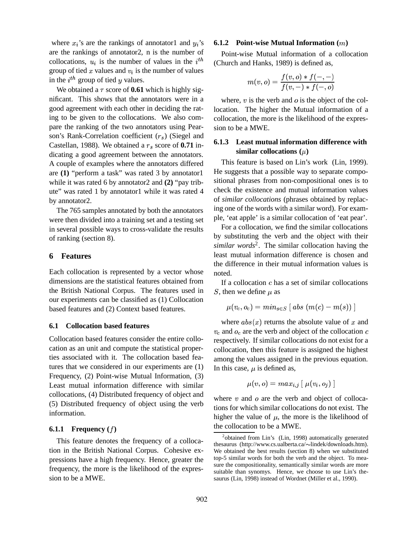where  $x_i$ 's are the rankings of annotator1 and  $y_i$ 's are the rankings of annotator2, n is the number of collocations,  $u_i$  is the number of values in the  $i^{th}$ group of tied  $x$  values and  $v_i$  is the number of values in the  $i^{th}$  group of tied y values.

We obtained a  $\tau$  score of **0.61** which is highly significant. This shows that the annotators were in a good agreement with each other in deciding the rating to be given to the collocations. We also compare the ranking of the two annotators using Pearson's Rank-Correlation coefficient  $(r<sub>s</sub>)$  (Siegel and Castellan, 1988). We obtained a  $r_s$  score of  $0.71$  indicating a good agreement between the annotators. A couple of examples where the annotators differed are **(1)** "perform a task" was rated 3 by annotator1 while it was rated 6 by annotator2 and **(2)** "pay tribute" was rated 1 by annotator1 while it was rated 4 by annotator2.

The 765 samples annotated by both the annotators were then divided into a training set and a testing set in several possible ways to cross-validate the results of ranking (section 8).

#### **6 Features**

Each collocation is represented by a vector whose dimensions are the statistical features obtained from the British National Corpus. The features used in our experiments can be classified as (1) Collocation based features and (2) Context based features.

### **6.1 Collocation based features**

Collocation based features consider the entire collocation as an unit and compute the statistical properties associated with it. The collocation based features that we considered in our experiments are (1) Frequency, (2) Point-wise Mutual Information, (3) Least mutual information difference with similar collocations, (4) Distributed frequency of object and (5) Distributed frequency of object using the verb information.

#### **6.1.1 Frequency ()**

This feature denotes the frequency of a collocation in the British National Corpus. Cohesive expressions have a high frequency. Hence, greater the frequency, the more is the likelihood of the expression to be a MWE.

#### **6.1.2 Point-wise Mutual Information ()**

Point-wise Mutual information of a collocation (Church and Hanks, 1989) is defined as,

$$
m(v,o)=\frac{f(v,o)\ast f(-,-)}{f(v,-)\ast f(-,o)}
$$

where,  $v$  is the verb and  $\sigma$  is the object of the collocation. The higher the Mutual information of a collocation, the more is the likelihood of the expression to be a MWE.

## **6.1.3 Least mutual information difference with**  $\sin$ **ilar collocations** ( $\mu$ )

This feature is based on Lin's work (Lin, 1999). He suggests that a possible way to separate compositional phrases from non-compositional ones is to check the existence and mutual information values of *similar collocations* (phrases obtained by replacing one of the words with a similar word). For example, 'eat apple' is a similar collocation of 'eat pear'.

For a collocation, we find the similar collocations by substituting the verb and the object with their *similar words*<sup>2</sup> . The similar collocation having the least mutual information difference is chosen and the difference in their mutual information values is noted.

If a collocation  $c$  has a set of similar collocations S, then we define  $\mu$  as

$$
\mu(v_c, o_c) = min_{s \in S} \ [\ abs\ (m(c) - m(s))\ ]
$$

where  $abs(x)$  returns the absolute value of x and  $v_c$  and  $o_c$  are the verb and object of the collocation  $c$ respectively. If similar collocations do not exist for a collocation, then this feature is assigned the highest among the values assigned in the previous equation. In this case,  $\mu$  is defined as,

$$
\mu(v, o) = max_{i, j} [ \mu(v_i, o_j) ]
$$

where  $v$  and  $o$  are the verb and object of collocations for which similar collocations do not exist. The higher the value of  $\mu$ , the more is the likelihood of the collocation to be a MWE.

<sup>&</sup>lt;sup>2</sup>obtained from Lin's (Lin, 1998) automatically generated thesaurus (http://www.cs.ualberta.ca/~lindek/downloads.htm). We obtained the best results (section 8) when we substituted top-5 similar words for both the verb and the object. To measure the compositionality, semantically similar words are more suitable than synomys. Hence, we choose to use Lin's thesaurus (Lin, 1998) instead of Wordnet (Miller et al., 1990).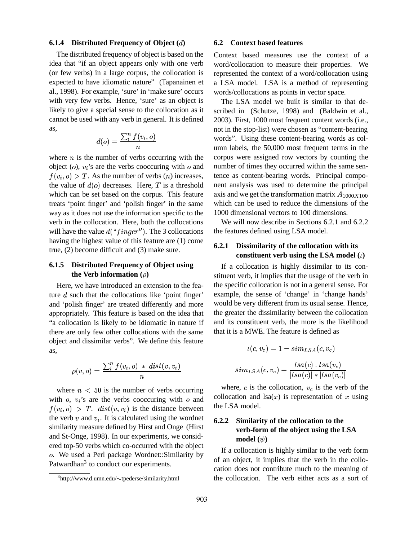#### **6.1.4 Distributed Frequency of Object ()**

The distributed frequency of object is based on the idea that "if an object appears only with one verb (or few verbs) in a large corpus, the collocation is expected to have idiomatic nature" (Tapanainen et al., 1998). For example, 'sure' in 'make sure' occurs with very few verbs. Hence, 'sure' as an object is likely to give a special sense to the collocation as it cannot be used with any verb in general. It is defined as,

$$
d(o) = \frac{\sum_i^n f(v_i, o)}{n}
$$

where  $n$  is the number of verbs occurring with the object  $(o)$ ,  $v_i$ 's are the verbs cooccuring with  $o$  and  $f(v_i, o) > T$ . As the number of verbs  $(n)$  increases, the value of  $d(o)$  decreases. Here, T is a threshold which can be set based on the corpus. This feature treats 'point finger' and 'polish finger' in the same way as it does not use the information specific to the verb in the collocation. Here, both the collocations will have the value  $d("finger")$ . The 3 collocations having the highest value of this feature are (1) come true, (2) become difficult and (3) make sure.

## **6.1.5 Distributed Frequency of Object using the** Verb **information**  $(\rho)$

Here, we have introduced an extension to the feature  $d$  such that the collocations like 'point finger' and 'polish finger' are treated differently and more appropriately. This feature is based on the idea that "a collocation is likely to be idiomatic in nature if there are only few other collocations with the same object and dissimilar verbs". We define this feature as,

$$
\rho(v, o) = \frac{\sum_i^n f(v_i, o) \cdot dist(v, v_i)}{n}
$$

where  $n < 50$  is the number of verbs occurring with  $o$ ,  $v_i$ 's are the verbs cooccuring with  $o$  and  $f(v_i, o) > T$ .  $dist(v, v_i)$  is the distance between the verb  $v$  and  $v_i$ . It is calculated using the wordnet similarity measure defined by Hirst and Onge (Hirst and St-Onge, 1998). In our experiments, we considered top-50 verbs which co-occurred with the object . We used a Perl package Wordnet::Similarity by Patwardhan<sup>3</sup> to conduct our experiments.

#### **6.2 Context based features**

Context based measures use the context of a word/collocation to measure their properties. We represented the context of a word/collocation using a LSA model. LSA is a method of representing words/collocations as points in vector space.

The LSA model we built is similar to that described in (Schutze, 1998) and (Baldwin et al., 2003). First, 1000 most frequent content words (i.e., not in the stop-list) were chosen as "content-bearing words". Using these content-bearing words as column labels, the 50,000 most frequent terms in the corpus were assigned row vectors by counting the number of times they occurred within the same sentence as content-bearing words. Principal component analysis was used to determine the principal axis and we get the transformation matrix  $A_{1000X100}$ which can be used to reduce the dimensions of the 1000 dimensional vectors to 100 dimensions.

We will now describe in Sections 6.2.1 and 6.2.2 the features defined using LSA model.

## **6.2.1 Dissimilarity of the collocation with its constituent verb using the LSA model**  $(\iota)$

If a collocation is highly dissimilar to its constituent verb, it implies that the usage of the verb in the specific collocation is not in a general sense. For example, the sense of 'change' in 'change hands' would be very different from its usual sense. Hence, the greater the dissimilarity between the collocation and its constituent verb, the more is the likelihood that it is a MWE. The feature is defined as

$$
\iota(c, v_c) = 1 - sim_{LSA}(c, v_c)
$$

$$
sim_{LSA}(c, v_c) = \frac{lsa(c) \cdot Isa(v_c)}{|lsa(c)| * |lsa(v_c)|}
$$

where,  $c$  is the collocation,  $v_c$  is the verb of the collocation and lsa( $x$ ) is representation of  $x$  using the LSA model.

## **6.2.2 Similarity of the collocation to the verb-form of the object using the LSA model**  $(\psi)$

If a collocation is highly similar to the verb form of an object, it implies that the verb in the collocation does not contribute much to the meaning of the collocation. The verb either acts as a sort of

<sup>3</sup>http://www.d.umn.edu/~tpederse/similarity.html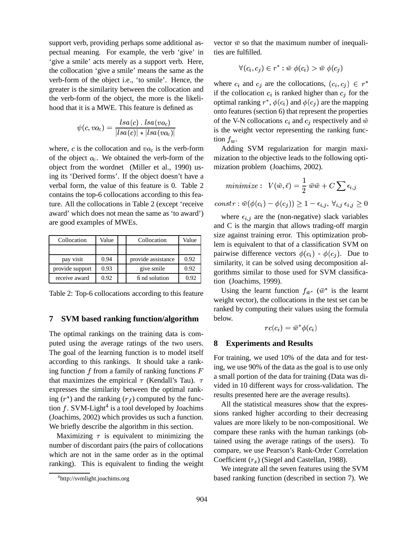support verb, providing perhaps some additional aspectual meaning. For example, the verb 'give' in 'give a smile' acts merely as a support verb. Here, the collocation 'give a smile' means the same as the verb-form of the object i.e., 'to smile'. Hence, the greater is the similarity between the collocation and the verb-form of the object, the more is the likelihood that it is a MWE. This feature is defined as

$$
\psi(c,vo_c)=\frac{lsa(c)\mathbin{\ldotp} lsa(vo_c)}{|lsa(c)|\mathbin{\ast}| lsa(vo_c)|}
$$

where, c is the collocation and  $vo<sub>c</sub>$  is the verb-form of the object  $o_c$ . We obtained the verb-form of the object from the wordnet (Miller et al., 1990) using its 'Derived forms'. If the object doesn't have a verbal form, the value of this feature is 0. Table 2 contains the top-6 collocations according to this feature. All the collocations in Table 2 (except 'receive award' which does not mean the same as 'to award') are good examples of MWEs.

| Collocation     | Value | Collocation        | Value |
|-----------------|-------|--------------------|-------|
|                 |       |                    |       |
| pay visit       | 0.94  | provide assistance | 0.92  |
| provide support | 0.93  | give smile         | 0.92  |
| receive award   | 0.92  | fi nd solution     | 0.92  |

Table 2: Top-6 collocations according to this feature

#### **7 SVM based ranking function/algorithm**

The optimal rankings on the training data is computed using the average ratings of the two users. The goal of the learning function is to model itself according to this rankings. It should take a ranking function  $f$  from a family of ranking functions  $F$ that maximizes the empirical  $\tau$  (Kendall's Tau).  $\tau$ expresses the similarity between the optimal ranking  $(r^*)$  and the ranking  $(r_f)$  computed by the function  $f$ . SVM-Light<sup>4</sup> is a tool developed by Joachims (Joachims, 2002) which provides us such a function. We briefly describe the algorithm in this section.

Maximizing  $\tau$  is equivalent to minimizing the number of discordant pairs (the pairs of collocations which are not in the same order as in the optimal ranking). This is equivalent to finding the weight

vector  $\bar{w}$  so that the maximum number of inequalities are fulfilled.

$$
\forall (c_i, c_j) \in r^* : \bar{w} \phi(c_i) > \bar{w} \phi(c_j)
$$

where  $c_i$  and  $c_j$  are the collocations,  $(c_i, c_j) \in r^*$ if the collocation  $c_i$  is ranked higher than  $c_j$  for the optimal ranking  $r^*$ ,  $\phi(c_i)$  and  $\phi(c_j)$  are the mapping onto features (section 6) that represent the properties of the V-N collocations  $c_i$  and  $c_j$  respectively and  $\bar{w}$ is the weight vector representing the ranking function  $f_w$ .

Adding SVM regularization for margin maximization to the objective leads to the following optimization problem (Joachims, 2002).

$$
minimize: V(\bar{w}, \bar{\epsilon}) = \frac{1}{2} \bar{w}\bar{w} + C \sum \epsilon_{i,j}
$$

$$
constraint: \bar{w}(\phi(c_i) - \phi(c_i)) \ge 1 - \epsilon_{i,j}, \ \forall_{i,j} \ \epsilon_{i,j} \ge 0
$$

where  $\epsilon_{i,j}$  are the (non-negative) slack variables and C is the margin that allows trading-off margin size against training error. This optimization problem is equivalent to that of a classification SVM on pairwise difference vectors  $\phi(c_i)$  -  $\phi(c_i)$ . Due to similarity, it can be solved using decomposition algorithms similar to those used for SVM classification (Joachims, 1999).

Using the learnt function  $f_{\bar{w}^*}$  ( $\bar{w}^*$  is the learnt weight vector), the collocations in the test set can be ranked by computing their values using the formula below.

$$
rc(c_i) = \bar{w}^*\phi(c_i)
$$

#### **8 Experiments and Results**

For training, we used 10% of the data and for testing, we use 90% of the data as the goal is to use only a small portion of the data for training (Data was divided in 10 different ways for cross-validation. The results presented here are the average results).

All the statistical measures show that the expressions ranked higher according to their decreasing values are more likely to be non-compositional. We compare these ranks with the human rankings (obtained using the average ratings of the users). To compare, we use Pearson's Rank-Order Correlation Coefficient  $(r<sub>s</sub>)$  (Siegel and Castellan, 1988).

We integrate all the seven features using the SVM based ranking function (described in section 7). We

<sup>4</sup> http://svmlight.joachims.org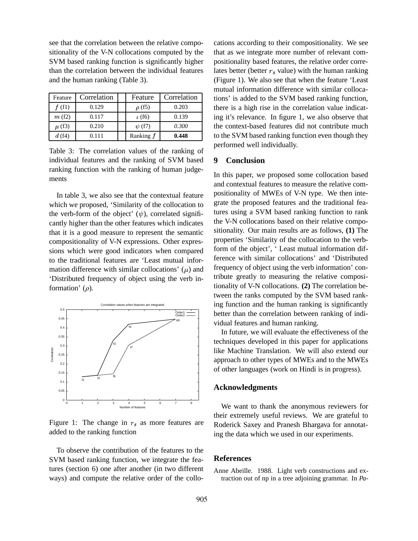see that the correlation between the relative compositionality of the V-N collocations computed by the SVM based ranking function is significantly higher than the correlation between the individual features and the human ranking (Table 3).

| Feature    | Correlation | Feature      | Correlation |
|------------|-------------|--------------|-------------|
| f(f(1))    | 0.129       | $\rho$ (f5)  | 0.203       |
| m(f2)      | 0.117       | $\iota$ (f6) | 0.139       |
| $\mu$ (f3) | 0.210       | $\psi$ (f7)  | 0.300       |
| d(f4)      | 0.111       | Ranking f    | 0.448       |

Table 3: The correlation values of the ranking of individual features and the ranking of SVM based ranking function with the ranking of human judgements

In table 3, we also see that the contextual feature which we proposed, 'Similarity of the collocation to the verb-form of the object'  $(\psi)$ , correlated significantly higher than the other features which indicates that it is a good measure to represent the semantic compositionality of V-N expressions. Other expressions which were good indicators when compared to the traditional features are 'Least mutual information difference with similar collocations'  $(\mu)$  and 'Distributed frequency of object using the verb information'  $(\rho)$ .



Figure 1: The change in  $r<sub>s</sub>$  as more features are added to the ranking function

To observe the contribution of the features to the SVM based ranking function, we integrate the features (section 6) one after another (in two different ways) and compute the relative order of the collocations according to their compositionality. We see that as we integrate more number of relevant compositionality based features, the relative order correlates better (better  $r_s$  value) with the human ranking (Figure 1). We also see that when the feature 'Least mutual information difference with similar collocations' is added to the SVM based ranking function, there is a high rise in the correlation value indicating it's relevance. In figure 1, we also observe that the context-based features did not contribute much to the SVM based ranking function even though they performed well individually.

## **9 Conclusion**

In this paper, we proposed some collocation based and contextual features to measure the relative compositionality of MWEs of V-N type. We then integrate the proposed features and the traditional features using a SVM based ranking function to rank the V-N collocations based on their relative compositionality. Our main results are as follows, **(1)** The properties 'Similarity of the collocation to the verbform of the object', ' Least mutual information difference with similar collocations' and 'Distributed frequency of object using the verb information' contribute greatly to measuring the relative compositionality of V-N collocations. **(2)** The correlation between the ranks computed by the SVM based ranking function and the human ranking is significantly better than the correlation between ranking of individual features and human ranking.

In future, we will evaluate the effectiveness of the techniques developed in this paper for applications like Machine Translation. We will also extend our approach to other types of MWEs and to the MWEs of other languages (work on Hindi is in progress).

#### **Acknowledgments**

We want to thank the anonymous reviewers for their extremely useful reviews. We are grateful to Roderick Saxey and Pranesh Bhargava for annotating the data which we used in our experiments.

## **References**

Anne Abeille. 1988. Light verb constructions and extraction out of np in a tree adjoining grammar. In *Pa-*